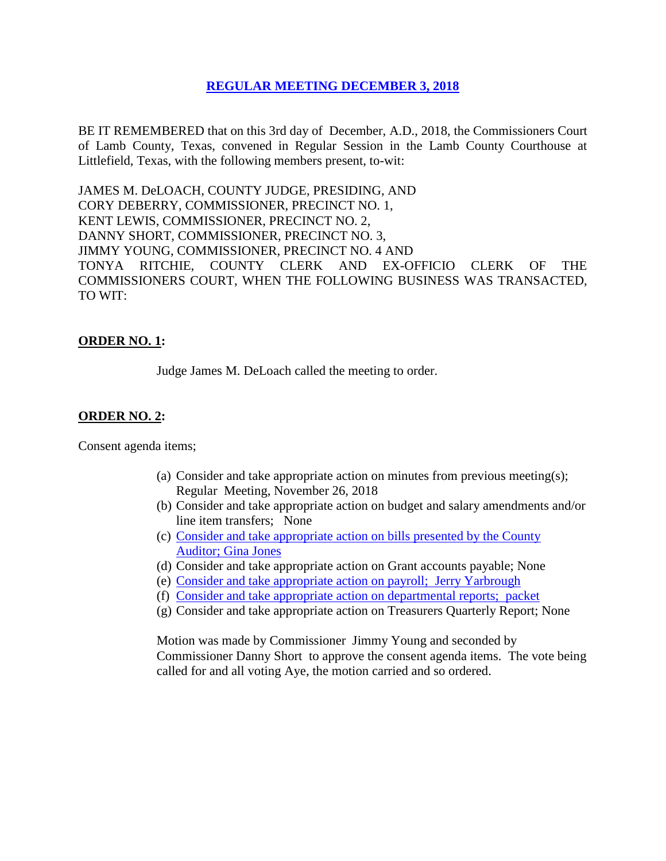### **REGULAR [MEETING DECEMBER 3, 2018](Links%202018-12-03-Regular/01%20AGENDA%20REGULAR%20MEETING%20DECEMBER%203,%202018.pdf)**

BE IT REMEMBERED that on this 3rd day of December, A.D., 2018, the Commissioners Court of Lamb County, Texas, convened in Regular Session in the Lamb County Courthouse at Littlefield, Texas, with the following members present, to-wit:

JAMES M. DeLOACH, COUNTY JUDGE, PRESIDING, AND CORY DEBERRY, COMMISSIONER, PRECINCT NO. 1, KENT LEWIS, COMMISSIONER, PRECINCT NO. 2, DANNY SHORT, COMMISSIONER, PRECINCT NO. 3, JIMMY YOUNG, COMMISSIONER, PRECINCT NO. 4 AND TONYA RITCHIE, COUNTY CLERK AND EX-OFFICIO CLERK OF THE COMMISSIONERS COURT, WHEN THE FOLLOWING BUSINESS WAS TRANSACTED, TO WIT:

# **ORDER NO. 1:**

Judge James M. DeLoach called the meeting to order.

### **ORDER NO. 2:**

Consent agenda items;

- (a) Consider and take appropriate action on minutes from previous meeting(s); Regular Meeting, November 26, 2018
- (b) Consider and take appropriate action on budget and salary amendments and/or line item transfers; None
- (c) [Consider and take appropriate action on bills presented by the County](Links%202018-12-03-Regular/03%20ACCOUNTS%20PAYABLE%20REGULAR%20MEETING%20DECEMBER%203,%202018.pdf)  Auditor; [Gina Jones](Links%202018-12-03-Regular/03%20ACCOUNTS%20PAYABLE%20REGULAR%20MEETING%20DECEMBER%203,%202018.pdf)
- (d) Consider and take appropriate action on Grant accounts payable; None
- (e) [Consider and take appropriate action on payroll; Jerry Yarbrough](Links%202018-12-03-Regular/04%20PAYROLL%20PAYABLES%20REGULAR%20MEETING%20DECEMBER%203,%202018.pdf)
- (f) [Consider and take appropriate action on departmental reports; packet](Links%202018-12-03-Regular/05%20DEPARTMENTAL%20REPORTS%20REGULAR%20MEETING%20DECEMBER%203,%202018.pdf)
- (g) Consider and take appropriate action on Treasurers Quarterly Report; None

Motion was made by Commissioner Jimmy Young and seconded by Commissioner Danny Short to approve the consent agenda items. The vote being called for and all voting Aye, the motion carried and so ordered.